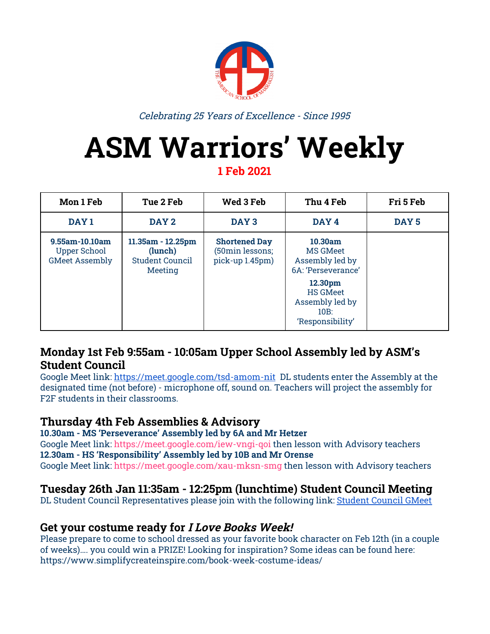

Celebrating 25 Years of Excellence - Since 1995

## **ASM Warriors' Weekly**

**1 Feb 2021**

| <b>Mon 1 Feb</b>                                        | Tue 2 Feb                                                         | Wed 3 Feb                                                  | Thu 4 Feb                                                                                                                                        | Fri 5 Feb        |
|---------------------------------------------------------|-------------------------------------------------------------------|------------------------------------------------------------|--------------------------------------------------------------------------------------------------------------------------------------------------|------------------|
| DAY <sub>1</sub>                                        | DAY <sub>2</sub>                                                  | DAY <sub>3</sub>                                           | DAY 4                                                                                                                                            | DAY <sub>5</sub> |
| 9.55am-10.10am<br>Upper School<br><b>GMeet Assembly</b> | 11.35am - 12.25pm<br>(lunch)<br><b>Student Council</b><br>Meeting | <b>Shortened Day</b><br>(50min lessons;<br>pick-up 1.45pm) | 10.30am<br><b>MS GMeet</b><br>Assembly led by<br>6A: 'Perseverance'<br>12.30pm<br><b>HS GMeet</b><br>Assembly led by<br>10B:<br>'Responsibility' |                  |

#### **Monday 1st Feb 9:55am - 10:05am Upper School Assembly led by ASM's Student Council**

Google Meet link: <https://meet.google.com/tsd-amom-nit> DL students enter the Assembly at the designated time (not before) - microphone off, sound on. Teachers will project the assembly for F2F students in their classrooms.

#### **Thursday 4th Feb Assemblies & Advisory**

**10.30am - MS 'Perseverance' Assembly led by 6A and Mr Hetzer** Google Meet link: <https://meet.google.com/iew-vngi-qoi> then lesson with Advisory teachers **12.30am - HS 'Re[s](https://meet.google.com/ycd-juad-bus)ponsibility' Assembly led by 10B and Mr Orense** Google Meet link: <https://meet.google.com/xau-mksn-smg> then lesson with Advisory teachers

#### **Tuesday 26th Jan 11:35am - 12:25pm (lunchtime) Student Council Meeting**

DL Student Council Representatives please join with the following link: [Student](https://meet.google.com/tqs-pozb-yav) Council GMeet

#### **Get your costume ready for I Love Books Week!**

Please prepare to come to school dressed as your favorite book character on Feb 12th (in a couple of weeks)…. you could win a PRIZE! Looking for inspiration? Some ideas can be found here: https://www.simplifycreateinspire.com/book-week-costume-ideas/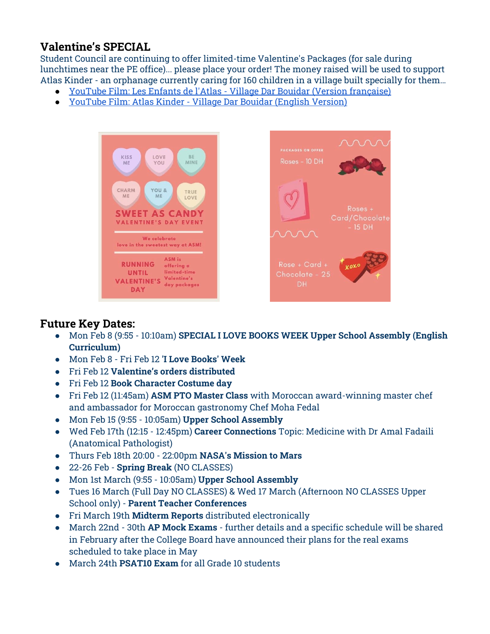#### **Valentine's SPECIAL**

Student Council are continuing to offer limited-time Valentine's Packages (for sale during lunchtimes near the PE office)... please place your order! The money raised will be used to support Atlas Kinder - an orphanage currently caring for 160 children in a village built specially for them…

- YouTube Film: Les Enfants de l'Atlas Village Dar Bouidar (Version [française\)](https://youtu.be/QpmaX-xYg9Y)
- [YouTube](https://www.youtube.com/watch?v=EX2lADHXMW0) Film: Atlas Kinder Village Dar Bouidar (English Version)



#### **Future Key Dates:**

- Mon Feb 8 (9:55 10:10am) **SPECIAL I LOVE BOOKS WEEK Upper School Assembly (English Curriculum)**
- Mon Feb 8 Fri Feb 12 **'I Love Books' Week**
- **●** Fri Feb 12 **Valentine's orders distributed**
- **●** Fri Feb 12 **Book Character Costume day**
- Fri Feb 12 (11:45am) **ASM PTO Master Class** with Moroccan award-winning master chef and ambassador for Moroccan gastronomy Chef Moha Fedal
- Mon Feb 15 (9:55 10:05am) **Upper School Assembly**
- **●** Wed Feb 17th (12:15 12:45pm) **Career Connections** Topic: Medicine with Dr Amal Fadaili (Anatomical Pathologist)
- Thurs Feb 18th 20:00 22:00pm **NASA's Mission to Mars**
- 22-26 Feb **Spring Break** (NO CLASSES)
- Mon 1st March (9:55 10:05am) **Upper School Assembly**
- Tues 16 March (Full Day NO CLASSES) & Wed 17 March (Afternoon NO CLASSES Upper School only) - **Parent Teacher Conferences**
- **●** Fri March 19th **Midterm Reports** distributed electronically
- **●** March 22nd 30th **AP Mock Exams** further details and a specific schedule will be shared in February after the College Board have announced their plans for the real exams scheduled to take place in May
- March 24th **PSAT10 Exam** for all Grade 10 students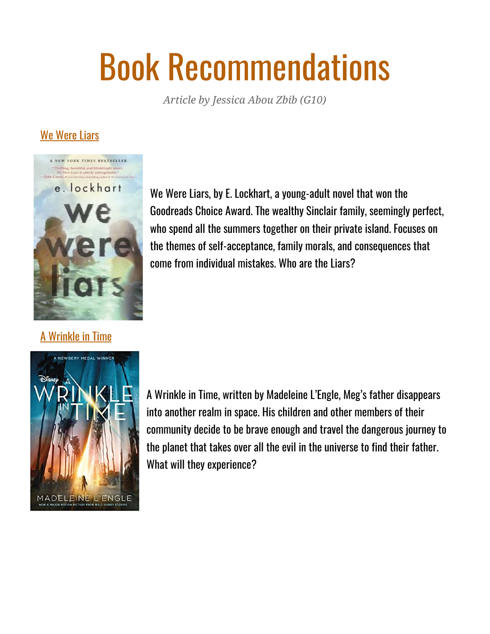# Book Recommendations

*Article by Jessica Abou Zbib (G10)*

#### We Were Liars



#### A Wrinkle in Time

NEWBERY MEDAL WINNER MADELEINE L'ENGLE We Were Liars, by E. Lockhart, a young-adult novel that won the Goodreads Choice Award. The wealthy Sinclair family, seemingly perfect, who spend all the summers together on their private island. Focuses on the themes of self-acceptance, family morals, and consequences that come from individual mistakes. Who are the Liars?

A Wrinkle in Time, written by Madeleine L'Engle, Meg's father disappears into another realm in space. His children and other members of their community decide to be brave enough and travel the dangerous journey to the planet that takes over all the evil in the universe to find their father. What will they experience?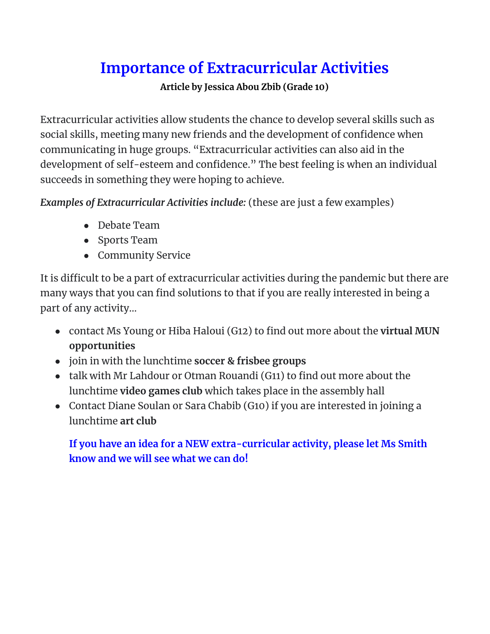### **Importance of Extracurricular Activities**

#### **Article by Jessica Abou Zbib (Grade 10)**

Extracurricular activities allow students the chance to develop several skills such as social skills, meeting many new friends and the development of confidence when communicating in huge groups. "Extracurricular activities can also aid in the development of self-esteem and confidence." The best feeling is when an individual succeeds in something they were hoping to achieve.

*Examples of Extracurricular Activities include:* (these are just a few examples)

- Debate Team
- Sports Team
- Community Service

It is difficult to be a part of extracurricular activities during the pandemic but there are many ways that you can find solutions to that if you are really interested in being a part of any activity…

- contact Ms Young or Hiba Haloui (G12) to find out more about the **virtual MUN opportunities**
- join in with the lunchtime **soccer & frisbee groups**
- talk with Mr Lahdour or Otman Rouandi (G11) to find out more about the lunchtime **video games club** which takes place in the assembly hall
- Contact Diane Soulan or Sara Chabib (G10) if you are interested in joining a lunchtime **art club**

#### **If you have an idea for a NEW extra-curricular activity, please let Ms Smith know and we will see what we can do!**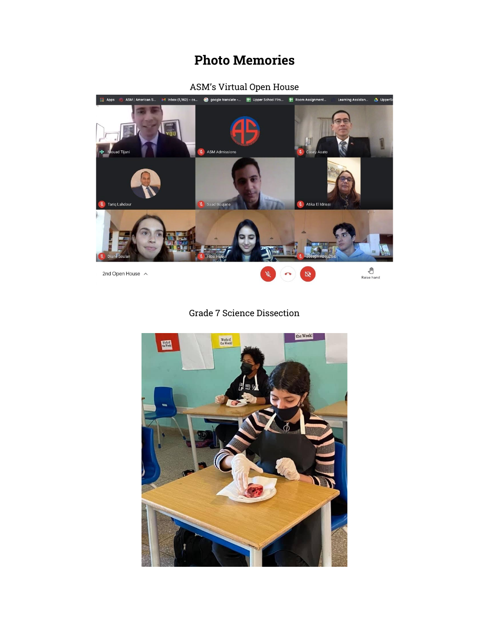#### **Photo Memories**

#### ASM's Virtual Open House



#### Grade 7 Science Dissection

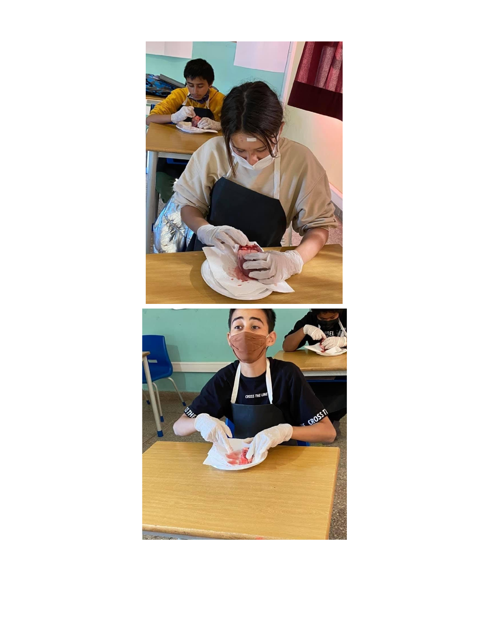